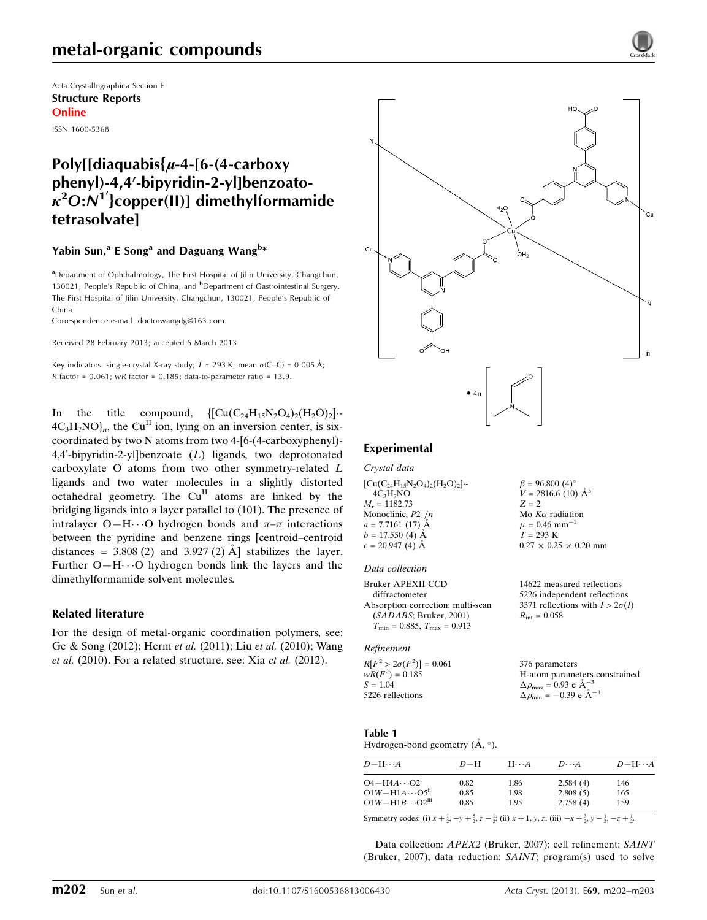# metal-organic compounds

Acta Crystallographica Section E Structure Reports Online

ISSN 1600-5368

# Poly[[diaquabis $\{u-4-$ [6-(4-carboxy phenyl)-4,4'-bipyridin-2-yllbenzoato- $\kappa^2$ O:N $^1$ '}copper(II)] dimethylformamide tetrasolvate]

#### Yabin Sun,<sup>a</sup> E Song<sup>a</sup> and Daguang Wang<sup>b\*</sup>

<sup>a</sup>Department of Ophthalmology, The First Hospital of Jilin University, Changchun, 130021, People's Republic of China, and <sup>b</sup>Department of Gastrointestinal Surgery, The First Hospital of Jilin University, Changchun, 130021, People's Republic of China

Correspondence e-mail: [doctorwangdg@163.com](https://scripts.iucr.org/cgi-bin/cr.cgi?rm=pdfbb&cnor=hy2619&bbid=BB9)

Received 28 February 2013; accepted 6 March 2013

Key indicators: single-crystal X-ray study;  $T = 293$  K; mean  $\sigma$ (C–C) = 0.005 Å;  $R$  factor = 0.061; w $R$  factor = 0.185; data-to-parameter ratio = 13.9.

In the title compound,  $\left[\left[\text{Cu}(C_{24}H_{15}N_2O_4)_2(H_2O)_2\right]\right]$ .  $4C_3H_7NO<sub>ln</sub>$ , the Cu<sup>II</sup> ion, lying on an inversion center, is sixcoordinated by two N atoms from two 4-[6-(4-carboxyphenyl)- 4,4'-bipyridin-2-yl]benzoate (L) ligands, two deprotonated carboxylate O atoms from two other symmetry-related L ligands and two water molecules in a slightly distorted octahedral geometry. The Cu<sup>II</sup> atoms are linked by the bridging ligands into a layer parallel to (101). The presence of intralayer O-H $\cdots$ O hydrogen bonds and  $\pi-\pi$  interactions between the pyridine and benzene rings [centroid–centroid distances =  $3.808(2)$  and  $3.927(2)$  Å stabilizes the layer. Further  $O-H \cdots O$  hydrogen bonds link the layers and the dimethylformamide solvent molecules.

#### Related literature

For the design of metal-organic coordination polymers, see: Ge & Song (2012); Herm et al. (2011); Liu et al. (2010); Wang et al. (2010). For a related structure, see: Xia et al. (2012).



#### Experimental

Crystal data

| $[Cu(C24H15N2O4)2(H2O)2]-$ | $\beta = 96.800(4)$ °             |
|----------------------------|-----------------------------------|
| $4C_3H_7NO$                | $V = 2816.6$ (10) $\AA^3$         |
| $M_r = 1182.73$            | $Z = 2$                           |
| Monoclinic, $P2_1/n$       | Mo $K\alpha$ radiation            |
| $a = 7.7161(17)$ A         | $\mu = 0.46$ mm <sup>-1</sup>     |
| $b = 17.550$ (4) $\AA$     | $T = 293 \text{ K}$               |
| $c = 20.947(4)$ Å          | $0.27 \times 0.25 \times 0.20$ mm |
|                            |                                   |

#### Data collection

Bruker APEXII CCD diffractometer Absorption correction: multi-scan (SADABS; Bruker, 2001)  $T_{\text{min}} = 0.885, T_{\text{max}} = 0.913$ 

#### Refinement

 $R[F^2 > 2\sigma(F^2)] = 0.061$  $wR(F^2) = 0.185$  $S = 1.04$ 5226 reflections 376 parameters H-atom parameters constrained  $\Delta \rho_{\text{max}} = 0.93 \text{ e A}^{-3}$  $\Delta \rho_{\text{min}} = -0.39 \text{ e A}^{-3}$ 

#### Table 1

Hydrogen-bond geometry  $(\AA, \degree)$ .

| $D - H \cdots A$                                                            | $D-H$        | $H\cdots A$  | $D\cdots A$          | $D$ -H $\cdots$ A |
|-----------------------------------------------------------------------------|--------------|--------------|----------------------|-------------------|
| $O4 - H4A \cdots O2^{1}$                                                    | 0.82         | 1.86         | 2.584(4)             | 146               |
| $O1W - H1A \cdots O5$ <sup>ii</sup><br>$O1W - H1B \cdots O2$ <sup>iii</sup> | 0.85<br>0.85 | 1.98<br>1.95 | 2.808(5)<br>2.758(4) | 165<br>159        |
|                                                                             |              |              |                      |                   |

Symmetry codes: (i)  $x + \frac{1}{2}$ ,  $-y + \frac{5}{2}$ ,  $z - \frac{1}{2}$ ; (ii)  $x + 1$ ,  $y$ ,  $z$ ; (iii)  $-x + \frac{3}{2}$ ,  $y - \frac{1}{2}$ ,  $-z + \frac{1}{2}$ .

Data collection: APEX2 (Bruker, 2007); cell refinement: SAINT (Bruker, 2007); data reduction: SAINT; program(s) used to solve

14622 measured reflections 5226 independent reflections 3371 reflections with  $I > 2\sigma(I)$ 

 $R_{\text{int}} = 0.058$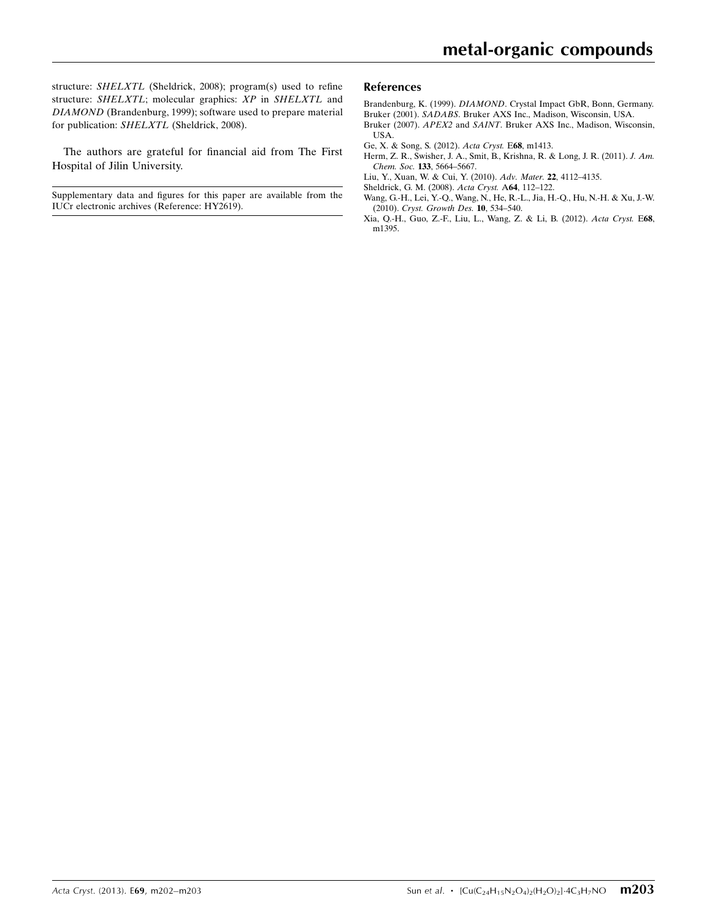structure: SHELXTL (Sheldrick, 2008); program(s) used to refine structure: SHELXTL; molecular graphics: XP in SHELXTL and DIAMOND (Brandenburg, 1999); software used to prepare material for publication: SHELXTL (Sheldrick, 2008).

The authors are grateful for financial aid from The First Hospital of Jilin University.

Supplementary data and figures for this paper are available from the IUCr electronic archives (Reference: HY2619).

#### References

Brandenburg, K. (1999). DIAMOND[. Crystal Impact GbR, Bonn, Germany.](https://scripts.iucr.org/cgi-bin/cr.cgi?rm=pdfbb&cnor=hy2619&bbid=BB1) Bruker (2001). SADABS[. Bruker AXS Inc., Madison, Wisconsin, USA.](https://scripts.iucr.org/cgi-bin/cr.cgi?rm=pdfbb&cnor=hy2619&bbid=BB2)

- Bruker (2007). APEX2 and SAINT[. Bruker AXS Inc., Madison, Wisconsin,](https://scripts.iucr.org/cgi-bin/cr.cgi?rm=pdfbb&cnor=hy2619&bbid=BB3) [USA.](https://scripts.iucr.org/cgi-bin/cr.cgi?rm=pdfbb&cnor=hy2619&bbid=BB3)
- [Ge, X. & Song, S. \(2012\).](https://scripts.iucr.org/cgi-bin/cr.cgi?rm=pdfbb&cnor=hy2619&bbid=BB4) Acta Cryst. E68, m1413.
- [Herm, Z. R., Swisher, J. A., Smit, B., Krishna, R. & Long, J. R. \(2011\).](https://scripts.iucr.org/cgi-bin/cr.cgi?rm=pdfbb&cnor=hy2619&bbid=BB5) J. Am. Chem. Soc. 133[, 5664–5667.](https://scripts.iucr.org/cgi-bin/cr.cgi?rm=pdfbb&cnor=hy2619&bbid=BB5)
- [Liu, Y., Xuan, W. & Cui, Y. \(2010\).](https://scripts.iucr.org/cgi-bin/cr.cgi?rm=pdfbb&cnor=hy2619&bbid=BB6) Adv. Mater. 22, 4112–4135.
- [Sheldrick, G. M. \(2008\).](https://scripts.iucr.org/cgi-bin/cr.cgi?rm=pdfbb&cnor=hy2619&bbid=BB7) Acta Cryst. A64, 112–122.
- [Wang, G.-H., Lei, Y.-Q., Wang, N., He, R.-L., Jia, H.-Q., Hu, N.-H. & Xu, J.-W.](https://scripts.iucr.org/cgi-bin/cr.cgi?rm=pdfbb&cnor=hy2619&bbid=BB8) (2010). [Cryst. Growth Des.](https://scripts.iucr.org/cgi-bin/cr.cgi?rm=pdfbb&cnor=hy2619&bbid=BB8) 10, 534–540.
- [Xia, Q.-H., Guo, Z.-F., Liu, L., Wang, Z. & Li, B. \(2012\).](https://scripts.iucr.org/cgi-bin/cr.cgi?rm=pdfbb&cnor=hy2619&bbid=BB9) Acta Cryst. E68, [m1395.](https://scripts.iucr.org/cgi-bin/cr.cgi?rm=pdfbb&cnor=hy2619&bbid=BB9)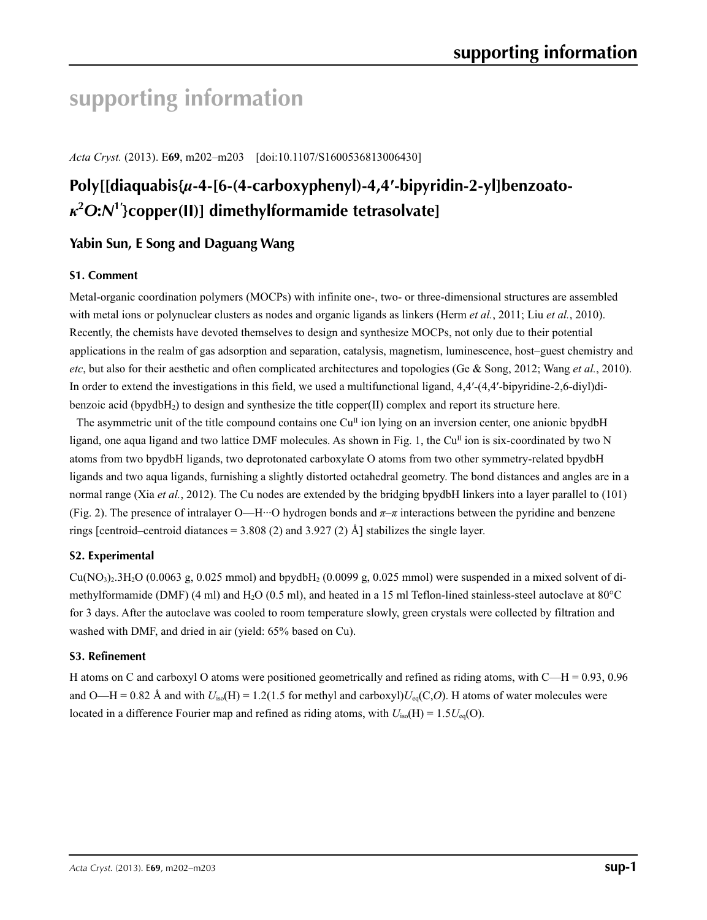# **supporting information**

*Acta Cryst.* (2013). E**69**, m202–m203 [doi:10.1107/S1600536813006430]

# **Poly[[diaquabis{***µ***-4-[6-(4-carboxyphenyl)-4,4′-bipyridin-2-yl]benzoato***κ***2** *O***:***N***<sup>1</sup>′ }copper(II)] dimethylformamide tetrasolvate]**

# **Yabin Sun, E Song and Daguang Wang**

#### **S1. Comment**

Metal-organic coordination polymers (MOCPs) with infinite one-, two- or three-dimensional structures are assembled with metal ions or polynuclear clusters as nodes and organic ligands as linkers (Herm *et al.*, 2011; Liu *et al.*, 2010). Recently, the chemists have devoted themselves to design and synthesize MOCPs, not only due to their potential applications in the realm of gas adsorption and separation, catalysis, magnetism, luminescence, host–guest chemistry and *etc*, but also for their aesthetic and often complicated architectures and topologies (Ge & Song, 2012; Wang *et al.*, 2010). In order to extend the investigations in this field, we used a multifunctional ligand, 4,4′-(4,4′-bipyridine-2,6-diyl)dibenzoic acid (bpydbH<sub>2</sub>) to design and synthesize the title copper(II) complex and report its structure here.

The asymmetric unit of the title compound contains one  $Cu<sup>H</sup>$  ion lying on an inversion center, one anionic bpydbH ligand, one aqua ligand and two lattice DMF molecules. As shown in Fig. 1, the Cu<sup>II</sup> ion is six-coordinated by two N atoms from two bpydbH ligands, two deprotonated carboxylate O atoms from two other symmetry-related bpydbH ligands and two aqua ligands, furnishing a slightly distorted octahedral geometry. The bond distances and angles are in a normal range (Xia *et al.*, 2012). The Cu nodes are extended by the bridging bpydbH linkers into a layer parallel to (101) (Fig. 2). The presence of intralayer O—H···O hydrogen bonds and *π*–*π* interactions between the pyridine and benzene rings [centroid–centroid diatances =  $3.808$  (2) and  $3.927$  (2) Å] stabilizes the single layer.

#### **S2. Experimental**

 $Cu(NO<sub>3</sub>)<sub>2</sub>·3H<sub>2</sub>O$  (0.0063 g, 0.025 mmol) and bpydbH<sub>2</sub> (0.0099 g, 0.025 mmol) were suspended in a mixed solvent of dimethylformamide (DMF) (4 ml) and H2O (0.5 ml), and heated in a 15 ml Teflon-lined stainless-steel autoclave at 80°C for 3 days. After the autoclave was cooled to room temperature slowly, green crystals were collected by filtration and washed with DMF, and dried in air (yield: 65% based on Cu).

#### **S3. Refinement**

H atoms on C and carboxyl O atoms were positioned geometrically and refined as riding atoms, with  $C$ —H = 0.93, 0.96 and O—H = 0.82 Å and with  $U_{\text{iso}}(H) = 1.2(1.5$  for methyl and carboxyl) $U_{\text{eq}}(C, O)$ . H atoms of water molecules were located in a difference Fourier map and refined as riding atoms, with  $U_{\text{iso}}(H) = 1.5U_{\text{eq}}(O)$ .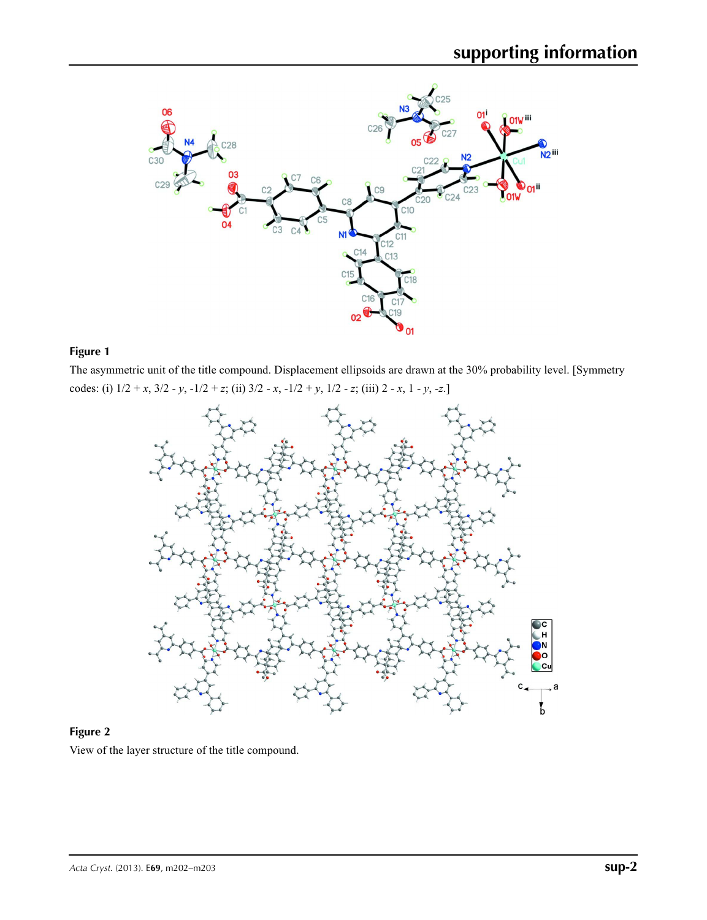

## **Figure 1**

The asymmetric unit of the title compound. Displacement ellipsoids are drawn at the 30% probability level. [Symmetry codes: (i) 1/2 + *x*, 3/2 - *y*, -1/2 + *z*; (ii) 3/2 - *x*, -1/2 + *y*, 1/2 - *z*; (iii) 2 - *x*, 1 - *y*, -*z*.]



## **Figure 2**

View of the layer structure of the title compound.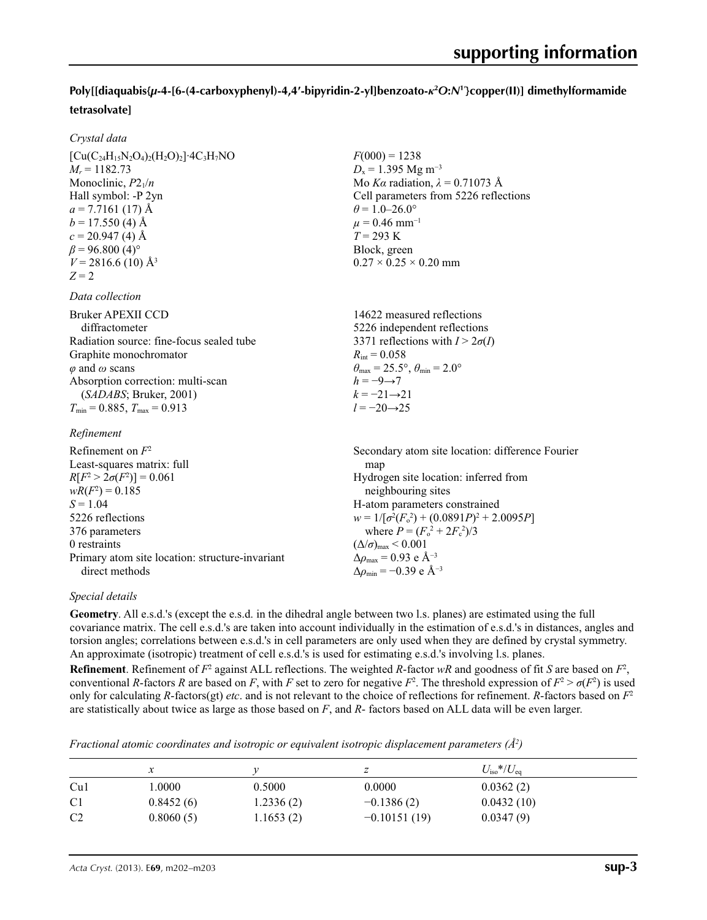## **Poly[[diaquabis{***µ***-4-[6-(4-carboxyphenyl)-4,4′-bipyridin-2-yl]benzoato-***κ***<sup>2</sup>** *O***:***N***<sup>1</sup>′ }copper(II)] dimethylformamide tetrasolvate]**

 $F(000) = 1238$  $D_x = 1.395$  Mg m<sup>-3</sup>

 $\theta$  = 1.0–26.0°  $\mu$  = 0.46 mm<sup>-1</sup>  $T = 293 \text{ K}$ Block, green

 $0.27 \times 0.25 \times 0.20$  mm

Mo *Kα* radiation,  $\lambda = 0.71073$  Å Cell parameters from 5226 reflections

#### *Crystal data*

| $[Cu(C_{24}H_{15}N_2O_4)_2(H_2O)_2]$ <sup>-4</sup> C <sub>3</sub> H <sub>7</sub> NO |
|-------------------------------------------------------------------------------------|
| $M_r = 1182.73$                                                                     |
| Monoclinic, $P2_1/n$                                                                |
| Hall symbol: -P 2yn                                                                 |
| $a = 7.7161(17)$ Å                                                                  |
| $b = 17.550$ (4) Å                                                                  |
| $c = 20.947(4)$ Å                                                                   |
| $\beta$ = 96.800 (4) <sup>o</sup>                                                   |
| $V = 2816.6$ (10) Å <sup>3</sup>                                                    |
| $Z=2$                                                                               |
|                                                                                     |

#### *Data collection*

| Bruker APEXII CCD                                   | 14622 measured reflections                                              |
|-----------------------------------------------------|-------------------------------------------------------------------------|
| diffractometer                                      | 5226 independent reflections                                            |
| Radiation source: fine-focus sealed tube            | 3371 reflections with $I > 2\sigma(I)$                                  |
| Graphite monochromator                              | $R_{\text{int}} = 0.058$                                                |
| $\varphi$ and $\omega$ scans                        | $\theta_{\text{max}} = 25.5^{\circ}, \theta_{\text{min}} = 2.0^{\circ}$ |
| Absorption correction: multi-scan                   | $h = -9 \rightarrow 7$                                                  |
| (SADABS; Bruker, 2001)                              | $k = -21 \rightarrow 21$                                                |
| $T_{\text{min}} = 0.885$ , $T_{\text{max}} = 0.913$ | $l = -20 \rightarrow 25$                                                |
|                                                     |                                                                         |

#### *Refinement*

| Refinement on $F^2$                             | Secondary atom site location: difference Fourier   |
|-------------------------------------------------|----------------------------------------------------|
| Least-squares matrix: full                      | map                                                |
| $R[F^2 > 2\sigma(F^2)] = 0.061$                 | Hydrogen site location: inferred from              |
| $wR(F^2) = 0.185$                               | neighbouring sites                                 |
| $S = 1.04$                                      | H-atom parameters constrained                      |
| 5226 reflections                                | $w = 1/[\sigma^2(F_0^2) + (0.0891P)^2 + 2.0095P]$  |
| 376 parameters                                  | where $P = (F_o^2 + 2F_c^2)/3$                     |
| 0 restraints                                    | $(\Delta/\sigma)_{\text{max}}$ < 0.001             |
| Primary atom site location: structure-invariant | $\Delta\rho_{\text{max}} = 0.93$ e Å <sup>-3</sup> |
| direct methods                                  | $\Delta \rho_{\rm min} = -0.39$ e Å <sup>-3</sup>  |

#### *Special details*

**Geometry**. All e.s.d.'s (except the e.s.d. in the dihedral angle between two l.s. planes) are estimated using the full covariance matrix. The cell e.s.d.'s are taken into account individually in the estimation of e.s.d.'s in distances, angles and torsion angles; correlations between e.s.d.'s in cell parameters are only used when they are defined by crystal symmetry. An approximate (isotropic) treatment of cell e.s.d.'s is used for estimating e.s.d.'s involving l.s. planes.

**Refinement**. Refinement of  $F^2$  against ALL reflections. The weighted *R*-factor  $wR$  and goodness of fit *S* are based on  $F^2$ , conventional *R*-factors *R* are based on *F*, with *F* set to zero for negative *F*<sup>2</sup>. The threshold expression of  $F^2 > \sigma(F^2)$  is used only for calculating *R*-factors(gt) *etc*. and is not relevant to the choice of reflections for refinement. *R*-factors based on *F*<sup>2</sup> are statistically about twice as large as those based on *F*, and *R*- factors based on ALL data will be even larger.

*Fractional atomic coordinates and isotropic or equivalent isotropic displacement parameters (Å<sup>2</sup>)* 

|                | $\mathcal{X}$ |           |                | $U_{\rm iso}*/U_{\rm eq}$ |
|----------------|---------------|-----------|----------------|---------------------------|
| Cu1            | .0000         | 0.5000    | 0.0000         | 0.0362(2)                 |
| C <sub>1</sub> | 0.8452(6)     | 1.2336(2) | $-0.1386(2)$   | 0.0432(10)                |
| C <sub>2</sub> | 0.8060(5)     | 1.1653(2) | $-0.10151(19)$ | 0.0347(9)                 |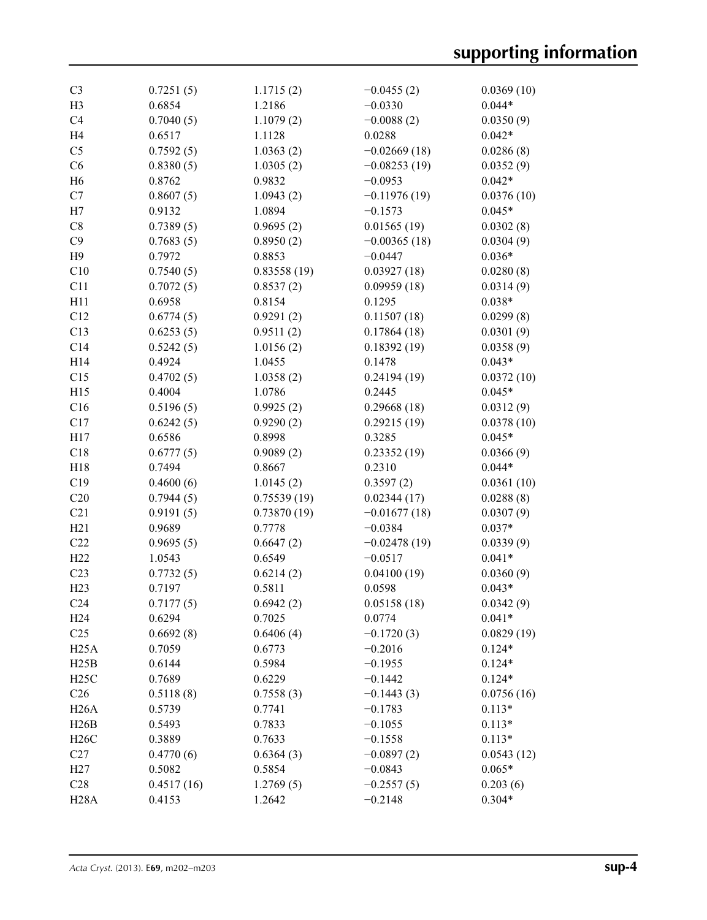| C <sub>3</sub>  | 0.7251(5)  | 1.1715(2)   | $-0.0455(2)$   | 0.0369(10) |
|-----------------|------------|-------------|----------------|------------|
| H <sub>3</sub>  | 0.6854     | 1.2186      | $-0.0330$      | $0.044*$   |
| C <sub>4</sub>  | 0.7040(5)  | 1.1079(2)   | $-0.0088(2)$   | 0.0350(9)  |
| H <sub>4</sub>  | 0.6517     | 1.1128      | 0.0288         | $0.042*$   |
| C <sub>5</sub>  | 0.7592(5)  | 1.0363(2)   | $-0.02669(18)$ | 0.0286(8)  |
| C6              | 0.8380(5)  | 1.0305(2)   | $-0.08253(19)$ | 0.0352(9)  |
| H <sub>6</sub>  | 0.8762     | 0.9832      | $-0.0953$      | $0.042*$   |
| C7              | 0.8607(5)  | 1.0943(2)   | $-0.11976(19)$ | 0.0376(10) |
| H7              | 0.9132     | 1.0894      | $-0.1573$      | $0.045*$   |
| C8              | 0.7389(5)  | 0.9695(2)   | 0.01565(19)    | 0.0302(8)  |
| C9              | 0.7683(5)  | 0.8950(2)   | $-0.00365(18)$ | 0.0304(9)  |
| H9              | 0.7972     | 0.8853      | $-0.0447$      | $0.036*$   |
| C10             | 0.7540(5)  | 0.83558(19) | 0.03927(18)    | 0.0280(8)  |
| C11             | 0.7072(5)  | 0.8537(2)   | 0.09959(18)    | 0.0314(9)  |
| H11             | 0.6958     | 0.8154      | 0.1295         | $0.038*$   |
| C12             |            | 0.9291(2)   |                | 0.0299(8)  |
|                 | 0.6774(5)  |             | 0.11507(18)    |            |
| C13             | 0.6253(5)  | 0.9511(2)   | 0.17864(18)    | 0.0301(9)  |
| C14             | 0.5242(5)  | 1.0156(2)   | 0.18392(19)    | 0.0358(9)  |
| H14             | 0.4924     | 1.0455      | 0.1478         | $0.043*$   |
| C15             | 0.4702(5)  | 1.0358(2)   | 0.24194(19)    | 0.0372(10) |
| H15             | 0.4004     | 1.0786      | 0.2445         | $0.045*$   |
| C16             | 0.5196(5)  | 0.9925(2)   | 0.29668(18)    | 0.0312(9)  |
| C17             | 0.6242(5)  | 0.9290(2)   | 0.29215(19)    | 0.0378(10) |
| H17             | 0.6586     | 0.8998      | 0.3285         | $0.045*$   |
| C18             | 0.6777(5)  | 0.9089(2)   | 0.23352(19)    | 0.0366(9)  |
| H18             | 0.7494     | 0.8667      | 0.2310         | $0.044*$   |
| C19             | 0.4600(6)  | 1.0145(2)   | 0.3597(2)      | 0.0361(10) |
| C20             | 0.7944(5)  | 0.75539(19) | 0.02344(17)    | 0.0288(8)  |
| C21             | 0.9191(5)  | 0.73870(19) | $-0.01677(18)$ | 0.0307(9)  |
| H21             | 0.9689     | 0.7778      | $-0.0384$      | $0.037*$   |
| C22             | 0.9695(5)  | 0.6647(2)   | $-0.02478(19)$ | 0.0339(9)  |
| H22             | 1.0543     | 0.6549      | $-0.0517$      | $0.041*$   |
| C <sub>23</sub> | 0.7732(5)  | 0.6214(2)   | 0.04100(19)    | 0.0360(9)  |
| H23             | 0.7197     | 0.5811      | 0.0598         | $0.043*$   |
| C <sub>24</sub> | 0.7177(5)  | 0.6942(2)   | 0.05158(18)    | 0.0342(9)  |
| H24             | 0.6294     | 0.7025      | 0.0774         | $0.041*$   |
| C <sub>25</sub> | 0.6692(8)  | 0.6406(4)   | $-0.1720(3)$   | 0.0829(19) |
| H25A            | 0.7059     | 0.6773      | $-0.2016$      | $0.124*$   |
| H25B            | 0.6144     | 0.5984      | $-0.1955$      | $0.124*$   |
| H25C            | 0.7689     | 0.6229      | $-0.1442$      | $0.124*$   |
| C <sub>26</sub> | 0.5118(8)  | 0.7558(3)   | $-0.1443(3)$   | 0.0756(16) |
| H26A            | 0.5739     | 0.7741      | $-0.1783$      | $0.113*$   |
| H26B            | 0.5493     | 0.7833      | $-0.1055$      | $0.113*$   |
| H26C            | 0.3889     | 0.7633      | $-0.1558$      | $0.113*$   |
| C27             | 0.4770(6)  | 0.6364(3)   | $-0.0897(2)$   | 0.0543(12) |
| H27             | 0.5082     | 0.5854      | $-0.0843$      | $0.065*$   |
| C28             | 0.4517(16) | 1.2769(5)   | $-0.2557(5)$   | 0.203(6)   |
| <b>H28A</b>     | 0.4153     | 1.2642      | $-0.2148$      | $0.304*$   |
|                 |            |             |                |            |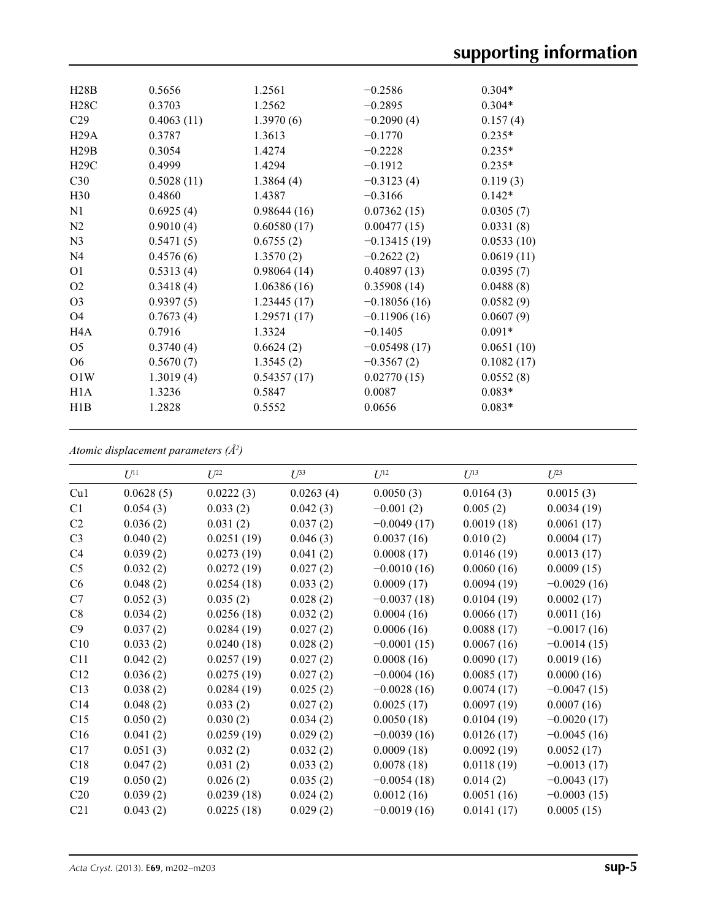| H28B             | 0.5656     | 1.2561      | $-0.2586$      | $0.304*$   |
|------------------|------------|-------------|----------------|------------|
| H28C             | 0.3703     | 1.2562      | $-0.2895$      | $0.304*$   |
| C <sub>29</sub>  | 0.4063(11) | 1.3970(6)   | $-0.2090(4)$   | 0.157(4)   |
| H29A             | 0.3787     | 1.3613      | $-0.1770$      | $0.235*$   |
| H29B             | 0.3054     | 1.4274      | $-0.2228$      | $0.235*$   |
| H29C             | 0.4999     | 1.4294      | $-0.1912$      | $0.235*$   |
| C30              | 0.5028(11) | 1.3864(4)   | $-0.3123(4)$   | 0.119(3)   |
| H <sub>30</sub>  | 0.4860     | 1.4387      | $-0.3166$      | $0.142*$   |
| N1               | 0.6925(4)  | 0.98644(16) | 0.07362(15)    | 0.0305(7)  |
| N2               | 0.9010(4)  | 0.60580(17) | 0.00477(15)    | 0.0331(8)  |
| N <sub>3</sub>   | 0.5471(5)  | 0.6755(2)   | $-0.13415(19)$ | 0.0533(10) |
| N <sub>4</sub>   | 0.4576(6)  | 1.3570(2)   | $-0.2622(2)$   | 0.0619(11) |
| O <sub>1</sub>   | 0.5313(4)  | 0.98064(14) | 0.40897(13)    | 0.0395(7)  |
| O <sub>2</sub>   | 0.3418(4)  | 1.06386(16) | 0.35908(14)    | 0.0488(8)  |
| O <sub>3</sub>   | 0.9397(5)  | 1.23445(17) | $-0.18056(16)$ | 0.0582(9)  |
| O <sub>4</sub>   | 0.7673(4)  | 1.29571(17) | $-0.11906(16)$ | 0.0607(9)  |
| H4A              | 0.7916     | 1.3324      | $-0.1405$      | $0.091*$   |
| O <sub>5</sub>   | 0.3740(4)  | 0.6624(2)   | $-0.05498(17)$ | 0.0651(10) |
| O <sub>6</sub>   | 0.5670(7)  | 1.3545(2)   | $-0.3567(2)$   | 0.1082(17) |
| O1W              | 1.3019(4)  | 0.54357(17) | 0.02770(15)    | 0.0552(8)  |
| H <sub>1</sub> A | 1.3236     | 0.5847      | 0.0087         | $0.083*$   |
| H1B              | 1.2828     | 0.5552      | 0.0656         | $0.083*$   |
|                  |            |             |                |            |

*Atomic displacement parameters (Å2 )*

|                 | $U^{11}$  | $U^{22}$   | $U^{33}$  | $U^{12}$      | $U^{13}$   | $U^{23}$      |
|-----------------|-----------|------------|-----------|---------------|------------|---------------|
| Cu1             | 0.0628(5) | 0.0222(3)  | 0.0263(4) | 0.0050(3)     | 0.0164(3)  | 0.0015(3)     |
| C1              | 0.054(3)  | 0.033(2)   | 0.042(3)  | $-0.001(2)$   | 0.005(2)   | 0.0034(19)    |
| C <sub>2</sub>  | 0.036(2)  | 0.031(2)   | 0.037(2)  | $-0.0049(17)$ | 0.0019(18) | 0.0061(17)    |
| C <sub>3</sub>  | 0.040(2)  | 0.0251(19) | 0.046(3)  | 0.0037(16)    | 0.010(2)   | 0.0004(17)    |
| C4              | 0.039(2)  | 0.0273(19) | 0.041(2)  | 0.0008(17)    | 0.0146(19) | 0.0013(17)    |
| C <sub>5</sub>  | 0.032(2)  | 0.0272(19) | 0.027(2)  | $-0.0010(16)$ | 0.0060(16) | 0.0009(15)    |
| C6              | 0.048(2)  | 0.0254(18) | 0.033(2)  | 0.0009(17)    | 0.0094(19) | $-0.0029(16)$ |
| C7              | 0.052(3)  | 0.035(2)   | 0.028(2)  | $-0.0037(18)$ | 0.0104(19) | 0.0002(17)    |
| C8              | 0.034(2)  | 0.0256(18) | 0.032(2)  | 0.0004(16)    | 0.0066(17) | 0.0011(16)    |
| C9              | 0.037(2)  | 0.0284(19) | 0.027(2)  | 0.0006(16)    | 0.0088(17) | $-0.0017(16)$ |
| C10             | 0.033(2)  | 0.0240(18) | 0.028(2)  | $-0.0001(15)$ | 0.0067(16) | $-0.0014(15)$ |
| C11             | 0.042(2)  | 0.0257(19) | 0.027(2)  | 0.0008(16)    | 0.0090(17) | 0.0019(16)    |
| C12             | 0.036(2)  | 0.0275(19) | 0.027(2)  | $-0.0004(16)$ | 0.0085(17) | 0.0000(16)    |
| C13             | 0.038(2)  | 0.0284(19) | 0.025(2)  | $-0.0028(16)$ | 0.0074(17) | $-0.0047(15)$ |
| C14             | 0.048(2)  | 0.033(2)   | 0.027(2)  | 0.0025(17)    | 0.0097(19) | 0.0007(16)    |
| C15             | 0.050(2)  | 0.030(2)   | 0.034(2)  | 0.0050(18)    | 0.0104(19) | $-0.0020(17)$ |
| C16             | 0.041(2)  | 0.0259(19) | 0.029(2)  | $-0.0039(16)$ | 0.0126(17) | $-0.0045(16)$ |
| C17             | 0.051(3)  | 0.032(2)   | 0.032(2)  | 0.0009(18)    | 0.0092(19) | 0.0052(17)    |
| C18             | 0.047(2)  | 0.031(2)   | 0.033(2)  | 0.0078(18)    | 0.0118(19) | $-0.0013(17)$ |
| C19             | 0.050(2)  | 0.026(2)   | 0.035(2)  | $-0.0054(18)$ | 0.014(2)   | $-0.0043(17)$ |
| C <sub>20</sub> | 0.039(2)  | 0.0239(18) | 0.024(2)  | 0.0012(16)    | 0.0051(16) | $-0.0003(15)$ |
| C21             | 0.043(2)  | 0.0225(18) | 0.029(2)  | $-0.0019(16)$ | 0.0141(17) | 0.0005(15)    |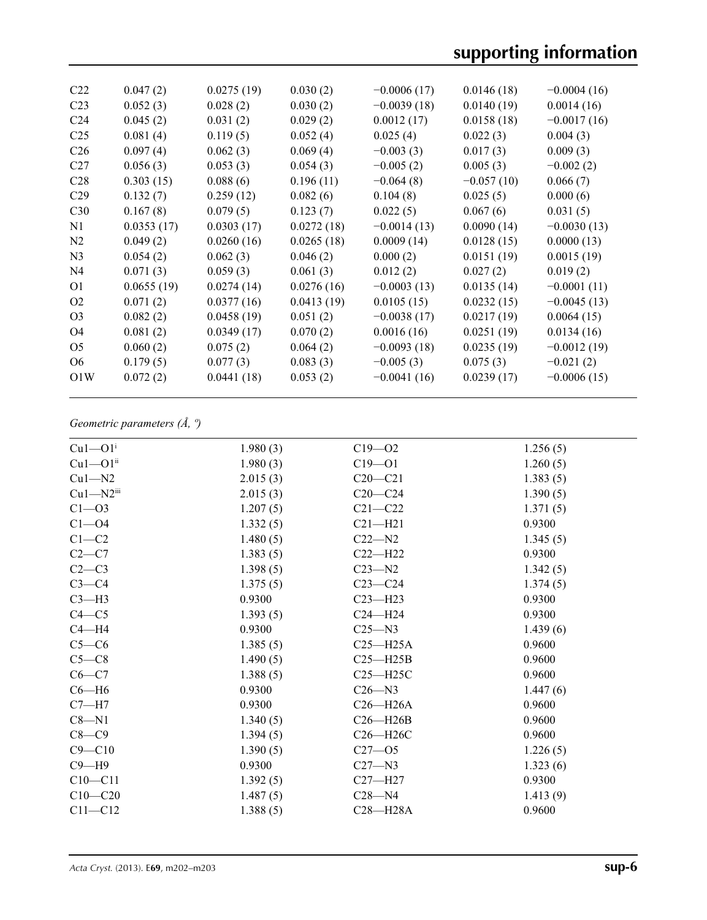# **supporting information**

| C <sub>22</sub> | 0.047(2)   | 0.0275(19) | 0.030(2)   | $-0.0006(17)$ | 0.0146(18)   | $-0.0004(16)$ |
|-----------------|------------|------------|------------|---------------|--------------|---------------|
| C <sub>23</sub> | 0.052(3)   | 0.028(2)   | 0.030(2)   | $-0.0039(18)$ | 0.0140(19)   | 0.0014(16)    |
| C <sub>24</sub> | 0.045(2)   | 0.031(2)   | 0.029(2)   | 0.0012(17)    | 0.0158(18)   | $-0.0017(16)$ |
| C <sub>25</sub> | 0.081(4)   | 0.119(5)   | 0.052(4)   | 0.025(4)      | 0.022(3)     | 0.004(3)      |
| C <sub>26</sub> | 0.097(4)   | 0.062(3)   | 0.069(4)   | $-0.003(3)$   | 0.017(3)     | 0.009(3)      |
| C <sub>27</sub> | 0.056(3)   | 0.053(3)   | 0.054(3)   | $-0.005(2)$   | 0.005(3)     | $-0.002(2)$   |
| C <sub>28</sub> | 0.303(15)  | 0.088(6)   | 0.196(11)  | $-0.064(8)$   | $-0.057(10)$ | 0.066(7)      |
| C <sub>29</sub> | 0.132(7)   | 0.259(12)  | 0.082(6)   | 0.104(8)      | 0.025(5)     | 0.000(6)      |
| C30             | 0.167(8)   | 0.079(5)   | 0.123(7)   | 0.022(5)      | 0.067(6)     | 0.031(5)      |
| N1              | 0.0353(17) | 0.0303(17) | 0.0272(18) | $-0.0014(13)$ | 0.0090(14)   | $-0.0030(13)$ |
| N <sub>2</sub>  | 0.049(2)   | 0.0260(16) | 0.0265(18) | 0.0009(14)    | 0.0128(15)   | 0.0000(13)    |
| N <sub>3</sub>  | 0.054(2)   | 0.062(3)   | 0.046(2)   | 0.000(2)      | 0.0151(19)   | 0.0015(19)    |
| N <sub>4</sub>  | 0.071(3)   | 0.059(3)   | 0.061(3)   | 0.012(2)      | 0.027(2)     | 0.019(2)      |
| O <sub>1</sub>  | 0.0655(19) | 0.0274(14) | 0.0276(16) | $-0.0003(13)$ | 0.0135(14)   | $-0.0001(11)$ |
| O <sub>2</sub>  | 0.071(2)   | 0.0377(16) | 0.0413(19) | 0.0105(15)    | 0.0232(15)   | $-0.0045(13)$ |
| O <sub>3</sub>  | 0.082(2)   | 0.0458(19) | 0.051(2)   | $-0.0038(17)$ | 0.0217(19)   | 0.0064(15)    |
| O4              | 0.081(2)   | 0.0349(17) | 0.070(2)   | 0.0016(16)    | 0.0251(19)   | 0.0134(16)    |
| O <sub>5</sub>  | 0.060(2)   | 0.075(2)   | 0.064(2)   | $-0.0093(18)$ | 0.0235(19)   | $-0.0012(19)$ |
| O <sub>6</sub>  | 0.179(5)   | 0.077(3)   | 0.083(3)   | $-0.005(3)$   | 0.075(3)     | $-0.021(2)$   |
| O1W             | 0.072(2)   | 0.0441(18) | 0.053(2)   | $-0.0041(16)$ | 0.0239(17)   | $-0.0006(15)$ |
|                 |            |            |            |               |              |               |

# *Geometric parameters (Å, º)*

| $Cu1 - O1$ <sup>i</sup> | 1.980(3) | $C19 - 02$   | 1.256(5) |
|-------------------------|----------|--------------|----------|
| $Cu1 - O1ii$            | 1.980(3) | $C19 - 01$   | 1.260(5) |
| $Cu1-M2$                | 2.015(3) | $C20 - C21$  | 1.383(5) |
| $Cu1 - N2$ iii          | 2.015(3) | $C20 - C24$  | 1.390(5) |
| $C1 - 03$               | 1.207(5) | $C21 - C22$  | 1.371(5) |
| $C1 - 04$               | 1.332(5) | $C21 - H21$  | 0.9300   |
| $C1-C2$                 | 1.480(5) | $C22 - N2$   | 1.345(5) |
| $C2-C7$                 | 1.383(5) | $C22 - H22$  | 0.9300   |
| $C2-C3$                 | 1.398(5) | $C23 - N2$   | 1.342(5) |
| $C3-C4$                 | 1.375(5) | $C23-C24$    | 1.374(5) |
| $C3-H3$                 | 0.9300   | $C23 - H23$  | 0.9300   |
| $C4 - C5$               | 1.393(5) | $C24 - H24$  | 0.9300   |
| $C4 - H4$               | 0.9300   | $C25 - N3$   | 1.439(6) |
| $C5-C6$                 | 1.385(5) | $C25 - H25A$ | 0.9600   |
| $C5-C8$                 | 1.490(5) | $C25 - H25B$ | 0.9600   |
| $C6 - C7$               | 1.388(5) | $C25 - H25C$ | 0.9600   |
| $C6 - H6$               | 0.9300   | $C26 - N3$   | 1.447(6) |
| $C7 - H7$               | 0.9300   | $C26 - H26A$ | 0.9600   |
| $C8 - N1$               | 1.340(5) | $C26 - H26B$ | 0.9600   |
| $C8-C9$                 | 1.394(5) | $C26 - H26C$ | 0.9600   |
| $C9 - C10$              | 1.390(5) | $C27 - 05$   | 1.226(5) |
| $C9 - H9$               | 0.9300   | $C27 - N3$   | 1.323(6) |
| $C10 - C11$             | 1.392(5) | $C27 - H27$  | 0.9300   |
| $C10 - C20$             | 1.487(5) | $C28 - N4$   | 1.413(9) |
| $C11 - C12$             | 1.388(5) | $C28 - H28A$ | 0.9600   |
|                         |          |              |          |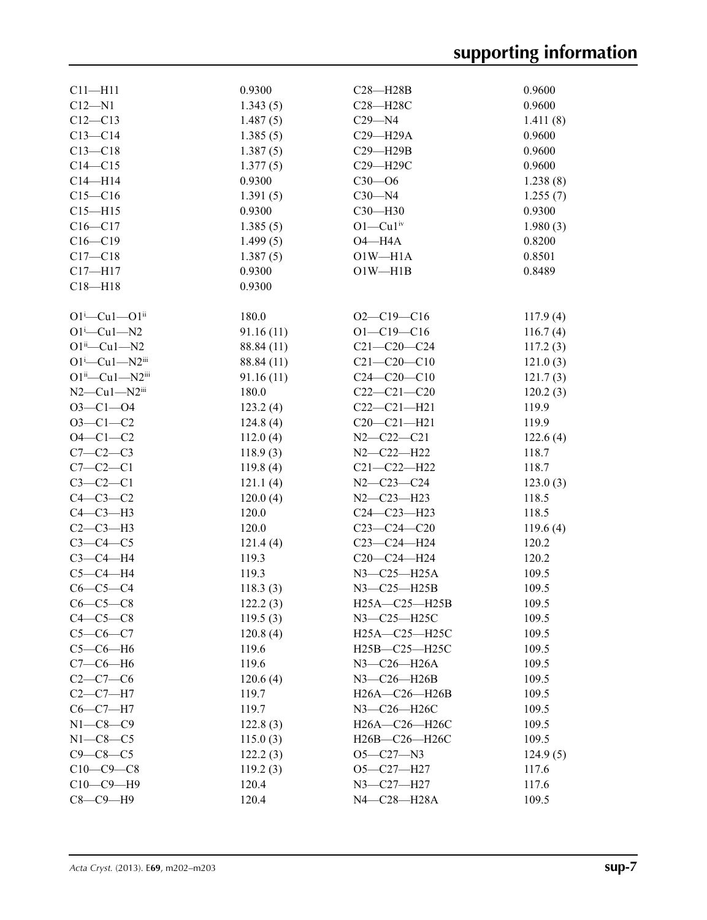| $C11 - H11$                        | 0.9300     | $C28 - H28B$                                         | 0.9600   |
|------------------------------------|------------|------------------------------------------------------|----------|
| $C12 - N1$                         | 1.343(5)   | C28-H28C                                             | 0.9600   |
| $C12 - C13$                        | 1.487(5)   | $C29 - N4$                                           | 1.411(8) |
| $C13 - C14$                        | 1.385(5)   | $C29 - H29A$                                         | 0.9600   |
| $C13 - C18$                        | 1.387(5)   | $C29 - H29B$                                         | 0.9600   |
| $C14 - C15$                        |            | C29-H29C                                             |          |
|                                    | 1.377(5)   |                                                      | 0.9600   |
| $C14 - H14$                        | 0.9300     | $C30 - 06$                                           | 1.238(8) |
| $C15 - C16$                        | 1.391(5)   | $C30 - N4$                                           | 1.255(7) |
| $C15 - H15$                        | 0.9300     | $C30 - H30$                                          | 0.9300   |
| $C16 - C17$                        | 1.385(5)   | $O1 - Cu1$ iv                                        | 1.980(3) |
| $C16 - C19$                        | 1.499(5)   | $O4 - H4A$                                           | 0.8200   |
| $C17 - C18$                        | 1.387(5)   | $O1W - H1A$                                          | 0.8501   |
| $C17 - H17$                        | 0.9300     | $O1W - H1B$                                          | 0.8489   |
| $C18 - H18$                        | 0.9300     |                                                      |          |
| $O1^i$ —Cu $1$ — $O1^i$            | 180.0      | $O2 - C19 - C16$                                     | 117.9(4) |
| $O1^i$ -Cu $1$ -N2                 | 91.16(11)  | $O1 - C19 - C16$                                     | 116.7(4) |
| $O1^{ii}$ —Cu1—N2                  | 88.84 (11) | $C21 - C20 - C24$                                    | 117.2(3) |
| $O1^i$ -Cu $1$ -N2iii              | 88.84 (11) | $C21 - C20 - C10$                                    | 121.0(3) |
| $O1^{ii}$ -Cu1-N2 $^{iii}$         | 91.16(11)  | $C24 - C20 - C10$                                    | 121.7(3) |
| $N2$ — $Cu1$ — $N2$ <sup>iii</sup> | 180.0      | $C22-C21-C20$                                        | 120.2(3) |
| $O3 - Cl - O4$                     | 123.2(4)   | $C22-C21-H21$                                        | 119.9    |
| $O3 - Cl - C2$                     |            | $C20 - C21 - H21$                                    | 119.9    |
|                                    | 124.8(4)   |                                                      |          |
| $O4 - C1 - C2$                     | 112.0(4)   | $N2 - C22 - C21$                                     | 122.6(4) |
| $C7-C2-C3$                         | 118.9(3)   | $N2 - C22 - H22$                                     | 118.7    |
| $C7-C2-C1$                         | 119.8(4)   | $C21 - C22 - H22$                                    | 118.7    |
| $C3-C2-C1$                         | 121.1(4)   | $N2 - C23 - C24$                                     | 123.0(3) |
| $C4-C3-C2$                         | 120.0(4)   | $N2 - C23 - H23$                                     | 118.5    |
| $C4-C3-H3$                         | 120.0      | $C24 - C23 - H23$                                    | 118.5    |
| $C2-C3-H3$                         | 120.0      | $C23-C24-C20$                                        | 119.6(4) |
| $C3-C4-C5$                         | 121.4(4)   | C23-C24-H24                                          | 120.2    |
| $C3-C4-H4$                         | 119.3      | C20-C24-H24                                          | 120.2    |
| $C5-C4-H4$                         | 119.3      | $N3$ –C25–H25A                                       | 109.5    |
| $C6-C5-C4$                         | 118.3(3)   | $N3-C25-H25B$                                        | 109.5    |
| $C6-C5-C8$                         | 122.2(3)   | $H25A - C25 - H25B$                                  | 109.5    |
| $C4-C5-C8$                         | 119.5(3)   | $N3$ — $C25$ —H25C                                   | 109.5    |
| $C5 - C6 - C7$                     | 120.8(4)   | H25A-C25-H25C                                        | 109.5    |
| $C5-C6-H6$                         | 119.6      | H25B-C25-H25C                                        | 109.5    |
| $C7-C6-H6$                         | 119.6      | N3-C26-H26A                                          | 109.5    |
| $C2 - C7 - C6$                     | 120.6(4)   | N3-C26-H26B                                          | 109.5    |
| $C2-C7-H7$                         | 119.7      | $H26A - C26 - H26B$                                  | 109.5    |
| $C6-C7-H7$                         | 119.7      | N3-C26-H26C                                          | 109.5    |
| $N1-C8-C9$                         | 122.8(3)   | H26A-C26-H26C                                        | 109.5    |
| $N1-C8-C5$                         | 115.0(3)   | H <sub>26</sub> B-C <sub>26</sub> -H <sub>26</sub> C | 109.5    |
| $C9 - C8 - C5$                     | 122.2(3)   | $O5 - C27 - N3$                                      | 124.9(5) |
| $C10-C9-C8$                        |            | $O5 - C27 - H27$                                     |          |
|                                    | 119.2(3)   |                                                      | 117.6    |
| $C10-C9-H9$                        | 120.4      | N3-C27-H27                                           | 117.6    |
| $C8-C9-H9$                         | 120.4      | N4-C28-H28A                                          | 109.5    |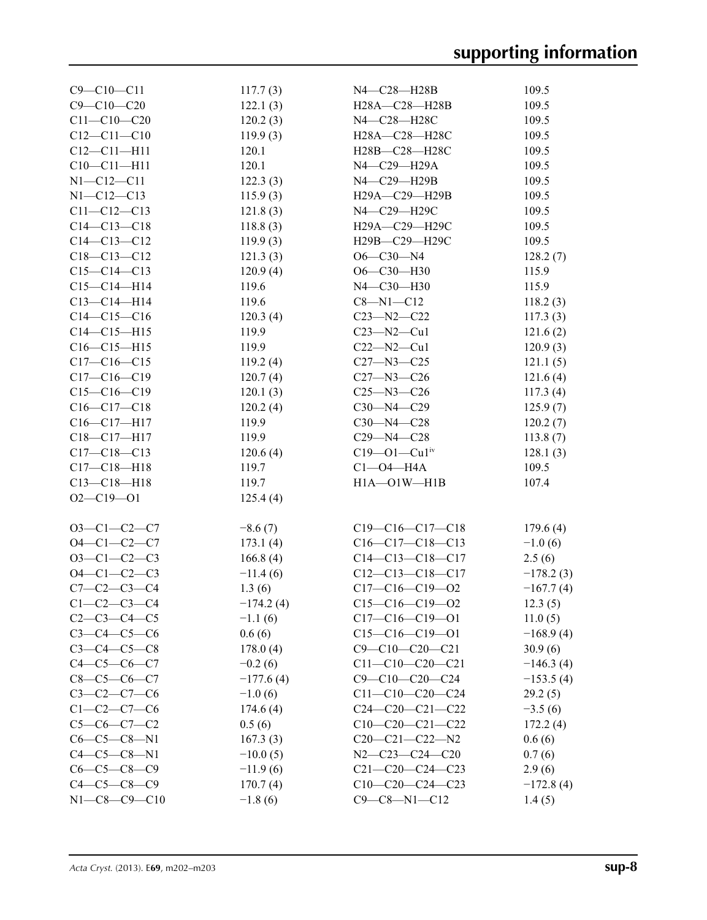| $C9 - C10 - C11$     | 117.7(3)    | N4-C28-H28B                    | 109.5       |
|----------------------|-------------|--------------------------------|-------------|
| $C9 - C10 - C20$     | 122.1(3)    | H28A-C28-H28B                  | 109.5       |
| $C11 - C10 - C20$    | 120.2(3)    | N4-C28-H28C                    | 109.5       |
| $C12 - C11 - C10$    | 119.9(3)    | H28A-C28-H28C                  | 109.5       |
| $C12 - C11 - H11$    | 120.1       | H28B-C28-H28C                  | 109.5       |
| $C10 - C11 - H11$    | 120.1       | N4-C29-H29A                    | 109.5       |
| $N1 - C12 - C11$     | 122.3(3)    | N4-C29-H29B                    | 109.5       |
| $N1 - C12 - C13$     | 115.9(3)    | H29A-C29-H29B                  | 109.5       |
| $C11 - C12 - C13$    | 121.8(3)    | N4-C29-H29C                    | 109.5       |
| $C14 - C13 - C18$    | 118.8(3)    | H29A-C29-H29C                  | 109.5       |
| $C14 - C13 - C12$    | 119.9(3)    | H29B-C29-H29C                  | 109.5       |
| $C18 - C13 - C12$    | 121.3(3)    | $O6 - C30 - N4$                | 128.2(7)    |
| $C15-C14-C13$        | 120.9(4)    | O6-C30-H30                     | 115.9       |
| $C15 - C14 - H14$    | 119.6       | N4-C30-H30                     | 115.9       |
| $C13-C14-H14$        | 119.6       | $C8 - N1 - C12$                | 118.2(3)    |
| $C14-C15-C16$        | 120.3(4)    | $C23 - N2 - C22$               | 117.3(3)    |
| $C14 - C15 - H15$    | 119.9       | $C23 - N2 - Cu1$               | 121.6(2)    |
| $C16 - C15 - H15$    | 119.9       | $C22 - N2 - Cu1$               | 120.9(3)    |
| $C17-C16-C15$        | 119.2(4)    | $C27 - N3 - C25$               | 121.1(5)    |
| $C17-C16-C19$        | 120.7(4)    | $C27 - N3 - C26$               | 121.6(4)    |
| $C15-C16-C19$        | 120.1(3)    | $C25 - N3 - C26$               | 117.3(4)    |
| $C16-C17-C18$        | 120.2(4)    | $C30 - N4 - C29$               | 125.9(7)    |
| $C16-C17-H17$        | 119.9       | $C30 - N4 - C28$               | 120.2(7)    |
| C18-C17-H17          | 119.9       | $C29 - N4 - C28$               | 113.8(7)    |
| $C17-C18-C13$        | 120.6(4)    | $C19 - O1 - Cu1$ <sup>iv</sup> | 128.1(3)    |
| $C17 - C18 - H18$    | 119.7       | $Cl$ -04-H4A                   | 109.5       |
| $C13 - C18 - H18$    | 119.7       | $H1A - O1W - H1B$              | 107.4       |
| $O2 - C19 - O1$      | 125.4(4)    |                                |             |
|                      |             |                                |             |
| $O3-C1-C2-C7$        | $-8.6(7)$   | $C19-C16-C17-C18$              | 179.6(4)    |
| $O4 - C1 - C2 - C7$  | 173.1(4)    | $C16-C17-C18-C13$              | $-1.0(6)$   |
| $O3-C1-C2-C3$        | 166.8(4)    | $C14-C13-C18-C17$              | 2.5(6)      |
| $O4 - C1 - C2 - C3$  | $-11.4(6)$  | $C12-C13-C18-C17$              | $-178.2(3)$ |
| $C7 - C2 - C3 - C4$  | 1.3(6)      | $C17-C16-C19-O2$               | $-167.7(4)$ |
| $C1 - C2 - C3 - C4$  | $-174.2(4)$ | $C15-C16-C19-O2$               | 12.3(5)     |
| $C2 - C3 - C4 - C5$  | $-1.1(6)$   | $C17-C16-C19-O1$               | 11.0(5)     |
| $C3 - C4 - C5 - C6$  | 0.6(6)      | $C15-C16-C19-O1$               | $-168.9(4)$ |
| $C3 - C4 - C5 - C8$  | 178.0(4)    | $C9 - C10 - C20 - C21$         | 30.9(6)     |
| $C4 - C5 - C6 - C7$  | $-0.2(6)$   | $C11-C10-C20-C21$              | $-146.3(4)$ |
| $C8-C5-C6-C7$        | $-177.6(4)$ | $C9 - C10 - C20 - C24$         | $-153.5(4)$ |
| $C3-C2-C7-C6$        | $-1.0(6)$   | $C11-C10-C20-C24$              | 29.2(5)     |
| $C1 - C2 - C7 - C6$  | 174.6(4)    | $C24-C20-C21-C22$              | $-3.5(6)$   |
| $C5-C6-C7-C2$        | 0.5(6)      | $C10-C20-C21-C22$              | 172.2(4)    |
| $C6-C5-C8-N1$        | 167.3(3)    | $C20-C21-C22-N2$               | 0.6(6)      |
| $C4 - C5 - C8 - N1$  | $-10.0(5)$  | $N2-C23-C24-C20$               | 0.7(6)      |
| $C6 - C5 - C8 - C9$  | $-11.9(6)$  | $C21-C20-C24-C23$              | 2.9(6)      |
| $C4 - C5 - C8 - C9$  | 170.7(4)    | $C10-C20-C24-C23$              | $-172.8(4)$ |
| $N1 - C8 - C9 - C10$ | $-1.8(6)$   | $C9 - C8 - N1 - C12$           | 1.4(5)      |
|                      |             |                                |             |